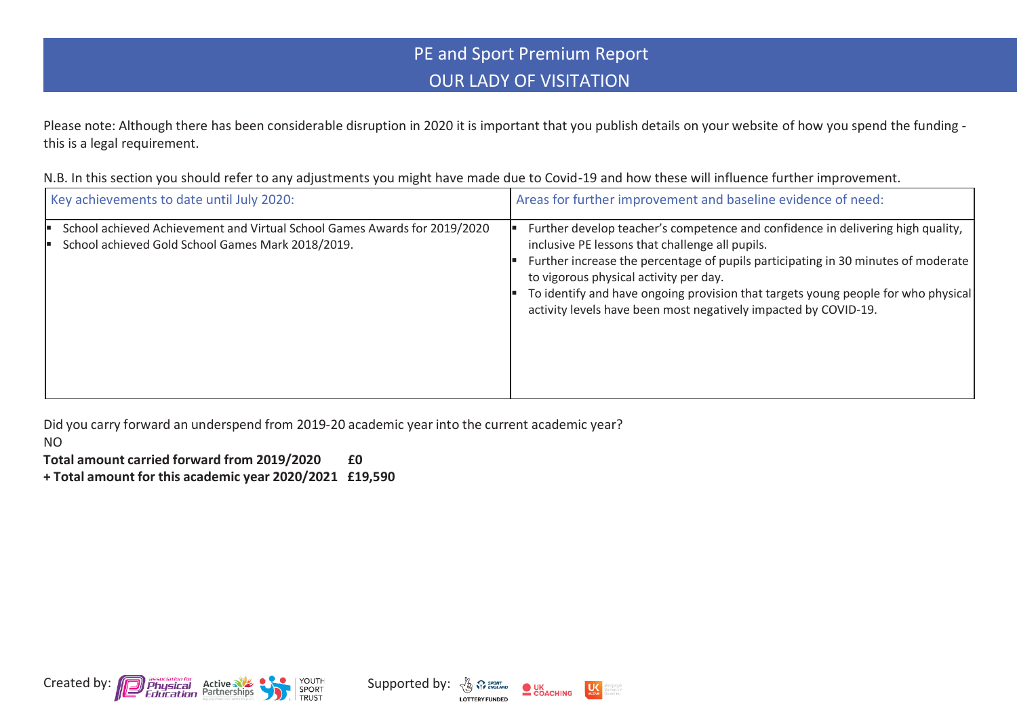## PE and Sport Premium Report OUR LADY OF VISITATION

Please note: Although there has been considerable disruption in 2020 it is important that you publish details on your website of how you spend the funding this is a legal requirement.

N.B. In this section you should refer to any adjustments you might have made due to Covid-19 and how these will influence further improvement.

| Key achievements to date until July 2020:                                                                                      | Areas for further improvement and baseline evidence of need:                                                                                                                                                                                                                                                                                                                                                              |
|--------------------------------------------------------------------------------------------------------------------------------|---------------------------------------------------------------------------------------------------------------------------------------------------------------------------------------------------------------------------------------------------------------------------------------------------------------------------------------------------------------------------------------------------------------------------|
| School achieved Achievement and Virtual School Games Awards for 2019/2020<br>School achieved Gold School Games Mark 2018/2019. | Further develop teacher's competence and confidence in delivering high quality,<br>inclusive PE lessons that challenge all pupils.<br>Further increase the percentage of pupils participating in 30 minutes of moderate<br>to vigorous physical activity per day.<br>To identify and have ongoing provision that targets young people for who physical<br>activity levels have been most negatively impacted by COVID-19. |

Did you carry forward an underspend from 2019-20 academic year into the current academic year?

NO

**Total amount carried forward from 2019/2020 £0**

**+ Total amount for this academic year 2020/2021 £19,590**





**US**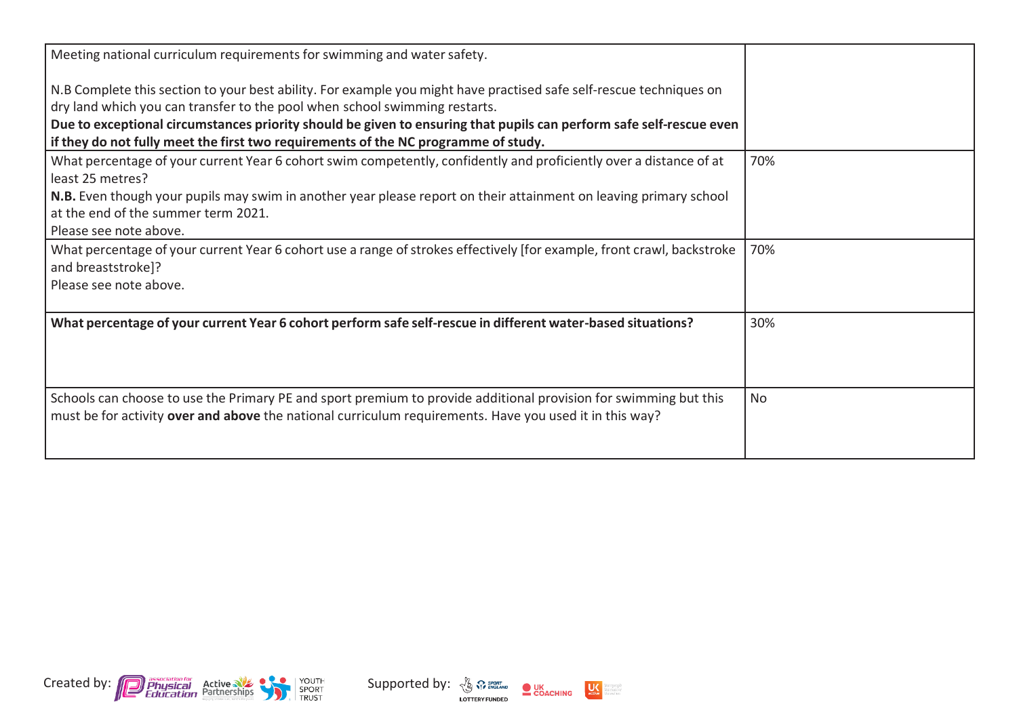| Meeting national curriculum requirements for swimming and water safety.                                                                                                                                                     |           |
|-----------------------------------------------------------------------------------------------------------------------------------------------------------------------------------------------------------------------------|-----------|
| N.B Complete this section to your best ability. For example you might have practised safe self-rescue techniques on<br>dry land which you can transfer to the pool when school swimming restarts.                           |           |
| Due to exceptional circumstances priority should be given to ensuring that pupils can perform safe self-rescue even                                                                                                         |           |
| if they do not fully meet the first two requirements of the NC programme of study.                                                                                                                                          |           |
| What percentage of your current Year 6 cohort swim competently, confidently and proficiently over a distance of at<br>least 25 metres?                                                                                      | 70%       |
| N.B. Even though your pupils may swim in another year please report on their attainment on leaving primary school                                                                                                           |           |
| at the end of the summer term 2021.                                                                                                                                                                                         |           |
| Please see note above.                                                                                                                                                                                                      |           |
| What percentage of your current Year 6 cohort use a range of strokes effectively [for example, front crawl, backstroke<br>and breaststroke]?                                                                                | 70%       |
| Please see note above.                                                                                                                                                                                                      |           |
| What percentage of your current Year 6 cohort perform safe self-rescue in different water-based situations?                                                                                                                 | 30%       |
| Schools can choose to use the Primary PE and sport premium to provide additional provision for swimming but this<br>must be for activity over and above the national curriculum requirements. Have you used it in this way? | <b>No</b> |





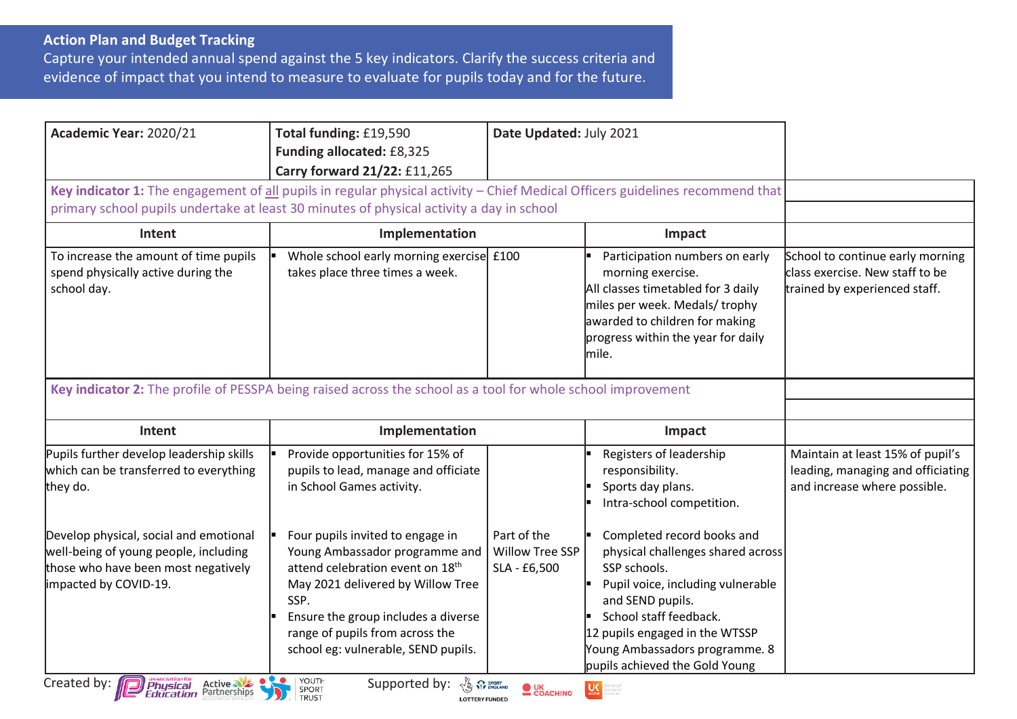## **Action Plan and Budget Tracking**

Capture your intended annual spend against the 5 key indicators. Clarify the success criteria and evidence of impact that you intend to measure to evaluate for pupils today and for the future.

| Academic Year: 2020/21                                                                         | Total funding: £19,590<br>Funding allocated: £8,325<br>Carry forward 21/22: £11,265                                                                                                                                       | Date Updated: July 2021 |                                                                                                                                                                                                              |                                                                                                       |
|------------------------------------------------------------------------------------------------|---------------------------------------------------------------------------------------------------------------------------------------------------------------------------------------------------------------------------|-------------------------|--------------------------------------------------------------------------------------------------------------------------------------------------------------------------------------------------------------|-------------------------------------------------------------------------------------------------------|
|                                                                                                | Key indicator 1: The engagement of all pupils in regular physical activity - Chief Medical Officers guidelines recommend that<br>primary school pupils undertake at least 30 minutes of physical activity a day in school |                         |                                                                                                                                                                                                              |                                                                                                       |
| Intent                                                                                         | Implementation                                                                                                                                                                                                            | Impact                  |                                                                                                                                                                                                              |                                                                                                       |
| To increase the amount of time pupils<br>spend physically active during the<br>school day.     | Whole school early morning exercise £100<br>takes place three times a week.                                                                                                                                               |                         | Participation numbers on early<br>morning exercise.<br>All classes timetabled for 3 daily<br>miles per week. Medals/ trophy<br>awarded to children for making<br>progress within the year for daily<br>mile. | School to continue early morning<br>class exercise. New staff to be<br>trained by experienced staff.  |
|                                                                                                | Key indicator 2: The profile of PESSPA being raised across the school as a tool for whole school improvement                                                                                                              |                         |                                                                                                                                                                                                              |                                                                                                       |
| Intent                                                                                         | Implementation                                                                                                                                                                                                            |                         | Impact                                                                                                                                                                                                       |                                                                                                       |
| Pupils further develop leadership skills<br>which can be transferred to everything<br>they do. | Provide opportunities for 15% of<br>pupils to lead, manage and officiate<br>in School Games activity.                                                                                                                     |                         | Registers of leadership<br>responsibility.<br>Sports day plans.                                                                                                                                              | Maintain at least 15% of pupil's<br>leading, managing and officiating<br>and increase where possible. |
|                                                                                                |                                                                                                                                                                                                                           |                         | Intra-school competition.                                                                                                                                                                                    |                                                                                                       |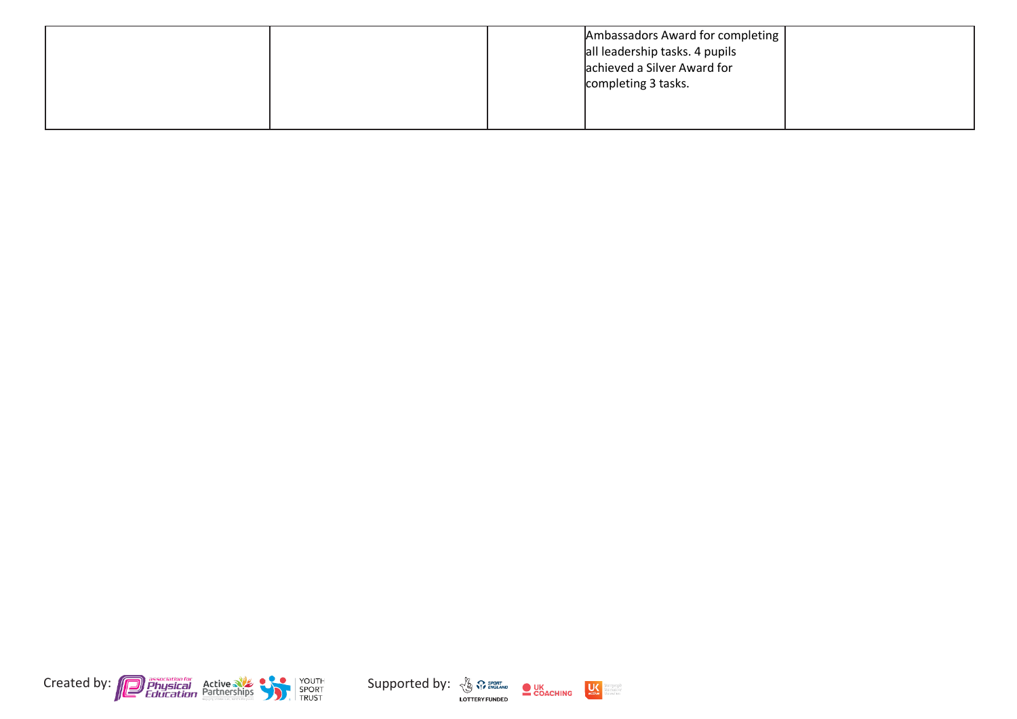| Ambassadors Award for completing |  |
|----------------------------------|--|
| all leadership tasks. 4 pupils   |  |
| achieved a Silver Award for      |  |
| completing 3 tasks.              |  |
|                                  |  |
|                                  |  |





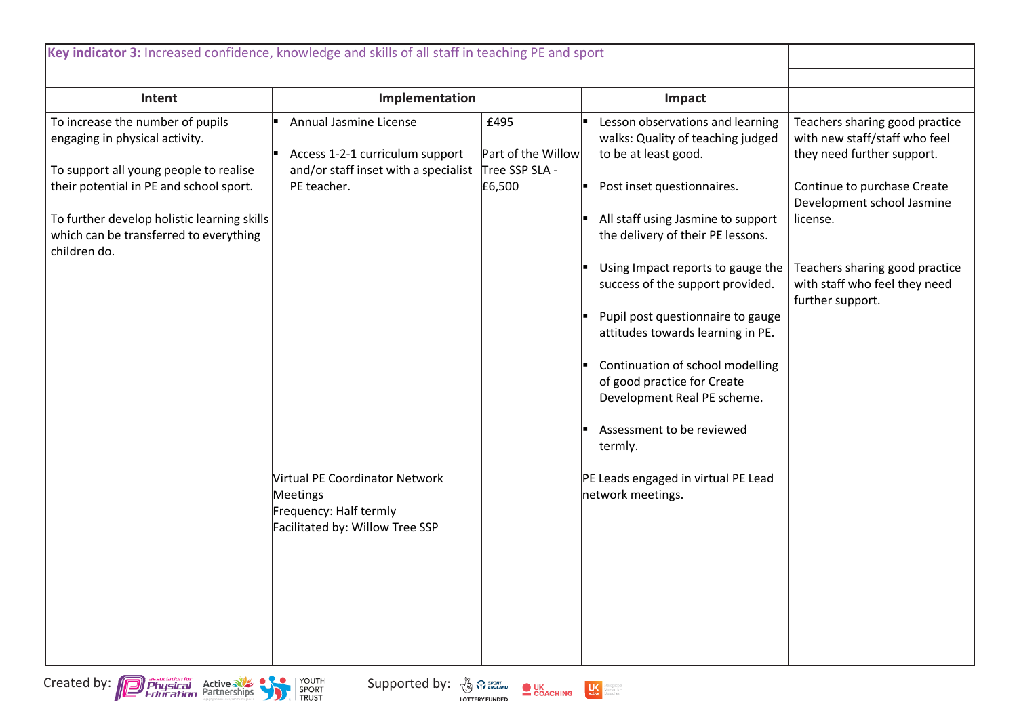| Key indicator 3: Increased confidence, knowledge and skills of all staff in teaching PE and sport                                                                                                                                                                |                                                                                                                                                                                                                                           |                                                        |                                                                                                                                                                                                                                                                                                                                                                                                                                                                                                                                                                 |                                                                                                                                                                                                                                                               |
|------------------------------------------------------------------------------------------------------------------------------------------------------------------------------------------------------------------------------------------------------------------|-------------------------------------------------------------------------------------------------------------------------------------------------------------------------------------------------------------------------------------------|--------------------------------------------------------|-----------------------------------------------------------------------------------------------------------------------------------------------------------------------------------------------------------------------------------------------------------------------------------------------------------------------------------------------------------------------------------------------------------------------------------------------------------------------------------------------------------------------------------------------------------------|---------------------------------------------------------------------------------------------------------------------------------------------------------------------------------------------------------------------------------------------------------------|
| Intent                                                                                                                                                                                                                                                           | Implementation                                                                                                                                                                                                                            |                                                        | Impact                                                                                                                                                                                                                                                                                                                                                                                                                                                                                                                                                          |                                                                                                                                                                                                                                                               |
| To increase the number of pupils<br>engaging in physical activity.<br>To support all young people to realise<br>their potential in PE and school sport.<br>To further develop holistic learning skills<br>which can be transferred to everything<br>children do. | Annual Jasmine License<br>Access 1-2-1 curriculum support<br>and/or staff inset with a specialist<br>PE teacher.<br><b>Virtual PE Coordinator Network</b><br><b>Meetings</b><br>Frequency: Half termly<br>Facilitated by: Willow Tree SSP | £495<br>Part of the Willow<br>Tree SSP SLA -<br>£6,500 | Lesson observations and learning<br>walks: Quality of teaching judged<br>to be at least good.<br>Post inset questionnaires.<br>All staff using Jasmine to support<br>the delivery of their PE lessons.<br>Using Impact reports to gauge the<br>success of the support provided.<br>Pupil post questionnaire to gauge<br>attitudes towards learning in PE.<br>Continuation of school modelling<br>of good practice for Create<br>Development Real PE scheme.<br>Assessment to be reviewed<br>termly.<br>PE Leads engaged in virtual PE Lead<br>network meetings. | Teachers sharing good practice<br>with new staff/staff who feel<br>they need further support.<br>Continue to purchase Create<br>Development school Jasmine<br>license.<br>Teachers sharing good practice<br>with staff who feel they need<br>further support. |



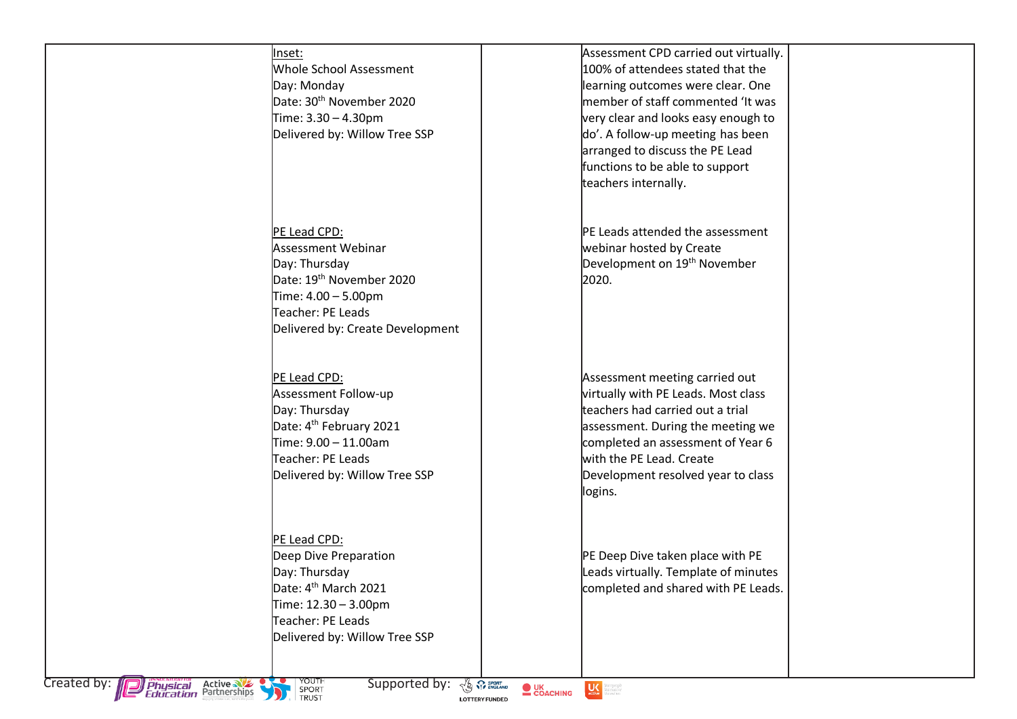|                                                                      | Inset:<br>Whole School Assessment<br>Day: Monday<br>Date: 30 <sup>th</sup> November 2020<br>Time: 3.30 - 4.30pm<br>Delivered by: Willow Tree SSP                            |                        | Assessment CPD carried out virtually.<br>100% of attendees stated that the<br>learning outcomes were clear. One<br>member of staff commented 'It was<br>very clear and looks easy enough to<br>do'. A follow-up meeting has been<br>arranged to discuss the PE Lead<br>functions to be able to support<br>teachers internally. |  |
|----------------------------------------------------------------------|-----------------------------------------------------------------------------------------------------------------------------------------------------------------------------|------------------------|--------------------------------------------------------------------------------------------------------------------------------------------------------------------------------------------------------------------------------------------------------------------------------------------------------------------------------|--|
|                                                                      | PE Lead CPD:<br>Assessment Webinar<br>Day: Thursday<br>Date: 19 <sup>th</sup> November 2020<br>Time: 4.00 - 5.00pm<br>Teacher: PE Leads<br>Delivered by: Create Development |                        | PE Leads attended the assessment<br>webinar hosted by Create<br>Development on 19 <sup>th</sup> November<br>2020.                                                                                                                                                                                                              |  |
|                                                                      | PE Lead CPD:<br>Assessment Follow-up<br>Day: Thursday<br>Date: 4 <sup>th</sup> February 2021<br>Time: 9.00 - 11.00am<br>Teacher: PE Leads<br>Delivered by: Willow Tree SSP  |                        | Assessment meeting carried out<br>virtually with PE Leads. Most class<br>teachers had carried out a trial<br>assessment. During the meeting we<br>completed an assessment of Year 6<br>with the PE Lead. Create<br>Development resolved year to class<br>logins.                                                               |  |
|                                                                      | PE Lead CPD:<br>Deep Dive Preparation<br>Day: Thursday<br>Date: 4 <sup>th</sup> March 2021<br>Time: 12.30 - 3.00pm<br>Teacher: PE Leads<br>Delivered by: Willow Tree SSP    |                        | PE Deep Dive taken place with PE<br>Leads virtually. Template of minutes<br>completed and shared with PE Leads.                                                                                                                                                                                                                |  |
| Created by: <b>Department Active State</b><br>Education Partnerships | YOUTH<br>SPORT<br>Supported by:<br><b>OR SPORT</b><br><b>TRUST</b><br><b>LOTTERY FUNDED</b>                                                                                 | <b>OUK</b><br>COACHING | <b>Marcative</b> Marentine                                                                                                                                                                                                                                                                                                     |  |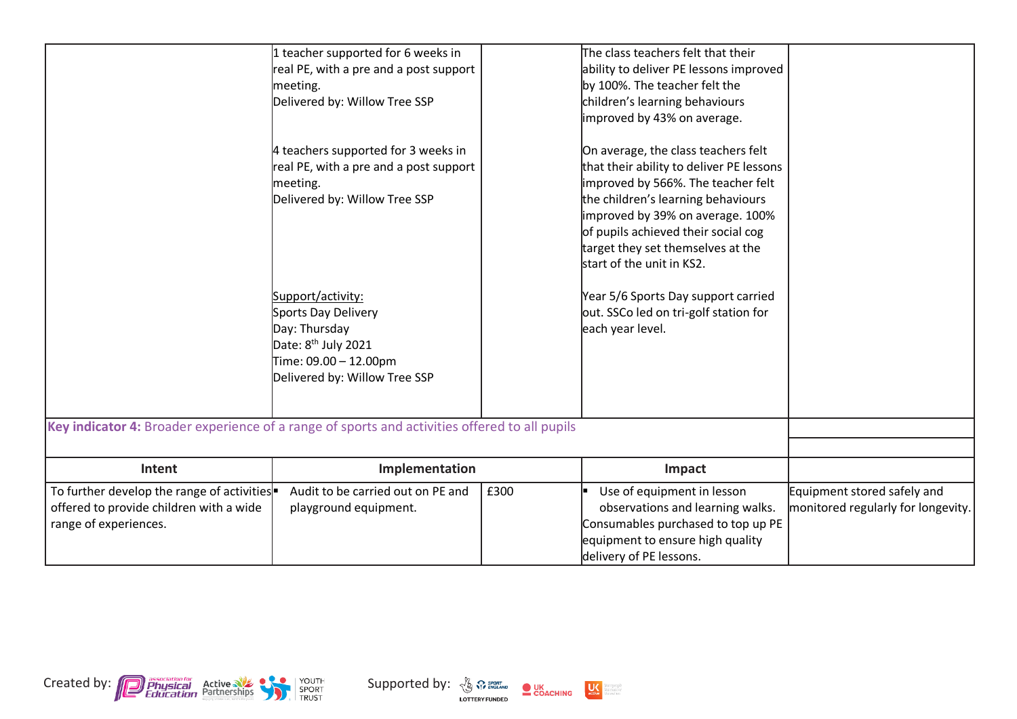|                                                                                                                | 1 teacher supported for 6 weeks in<br>real PE, with a pre and a post support<br>meeting.<br>Delivered by: Willow Tree SSP                              |      | The class teachers felt that their<br>ability to deliver PE lessons improved<br>by 100%. The teacher felt the<br>children's learning behaviours<br>improved by 43% on average.                                                                                                                           |                                                                   |
|----------------------------------------------------------------------------------------------------------------|--------------------------------------------------------------------------------------------------------------------------------------------------------|------|----------------------------------------------------------------------------------------------------------------------------------------------------------------------------------------------------------------------------------------------------------------------------------------------------------|-------------------------------------------------------------------|
|                                                                                                                | 4 teachers supported for 3 weeks in<br>real PE, with a pre and a post support<br>meeting.<br>Delivered by: Willow Tree SSP                             |      | On average, the class teachers felt<br>that their ability to deliver PE lessons<br>improved by 566%. The teacher felt<br>the children's learning behaviours<br>improved by 39% on average. 100%<br>of pupils achieved their social cog<br>target they set themselves at the<br>start of the unit in KS2. |                                                                   |
|                                                                                                                | Support/activity:<br>Sports Day Delivery<br>Day: Thursday<br>Date: 8 <sup>th</sup> July 2021<br>Time: 09.00 - 12.00pm<br>Delivered by: Willow Tree SSP |      | Year 5/6 Sports Day support carried<br>out. SSCo led on tri-golf station for<br>each year level.                                                                                                                                                                                                         |                                                                   |
| Key indicator 4: Broader experience of a range of sports and activities offered to all pupils                  |                                                                                                                                                        |      |                                                                                                                                                                                                                                                                                                          |                                                                   |
| Intent                                                                                                         | Implementation                                                                                                                                         |      | Impact                                                                                                                                                                                                                                                                                                   |                                                                   |
| To further develop the range of activities<br>offered to provide children with a wide<br>range of experiences. | Audit to be carried out on PE and<br>playground equipment.                                                                                             | £300 | Use of equipment in lesson<br>observations and learning walks.<br>Consumables purchased to top up PE<br>equipment to ensure high quality<br>delivery of PE lessons.                                                                                                                                      | Equipment stored safely and<br>monitored regularly for longevity. |



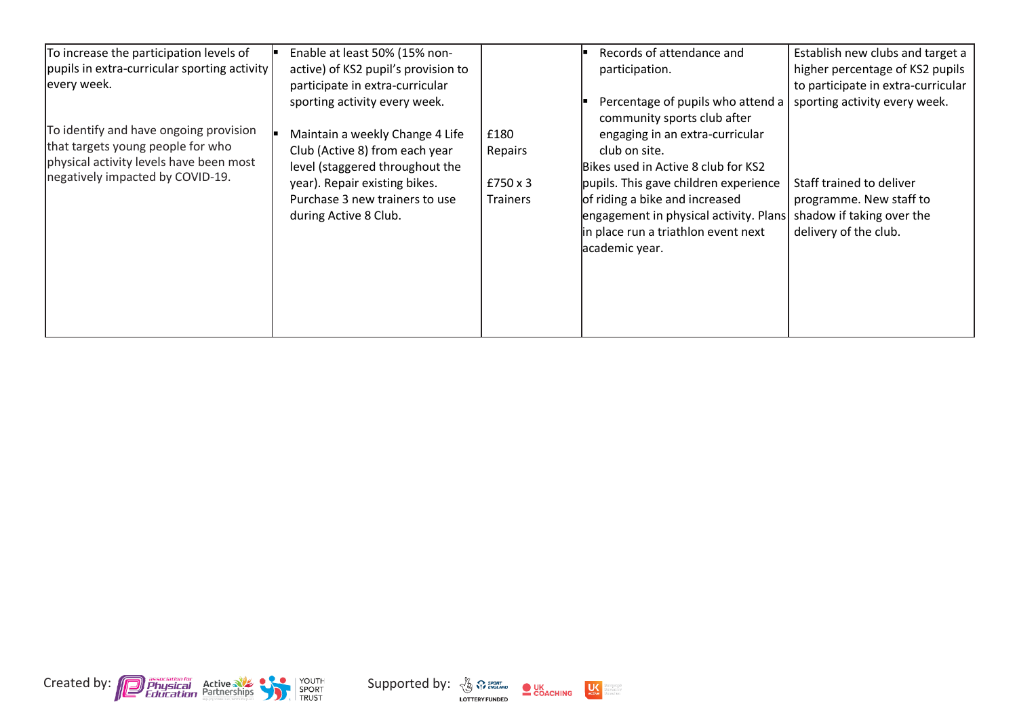| To increase the participation levels of<br>  pupils in extra-curricular sporting activity<br>every week.<br>To identify and have ongoing provision<br>that targets young people for who | Enable at least 50% (15% non-<br>active) of KS2 pupil's provision to<br>participate in extra-curricular<br>sporting activity every week.<br>Maintain a weekly Change 4 Life<br>Club (Active 8) from each year | £180                                   | Records of attendance and<br>participation.<br>Percentage of pupils who attend a<br>community sports club after<br>engaging in an extra-curricular                                                                                 | Establish new clubs and target a<br>higher percentage of KS2 pupils<br>to participate in extra-curricular<br>sporting activity every week. |
|-----------------------------------------------------------------------------------------------------------------------------------------------------------------------------------------|---------------------------------------------------------------------------------------------------------------------------------------------------------------------------------------------------------------|----------------------------------------|------------------------------------------------------------------------------------------------------------------------------------------------------------------------------------------------------------------------------------|--------------------------------------------------------------------------------------------------------------------------------------------|
| physical activity levels have been most<br>negatively impacted by COVID-19.                                                                                                             | level (staggered throughout the<br>year). Repair existing bikes.<br>Purchase 3 new trainers to use<br>during Active 8 Club.                                                                                   | Repairs<br>£750 $\times$ 3<br>Trainers | club on site.<br>Bikes used in Active 8 club for KS2<br>pupils. This gave children experience<br>of riding a bike and increased<br>engagement in physical activity. Plans<br>in place run a triathlon event next<br>academic year. | Staff trained to deliver<br>programme. New staff to<br>shadow if taking over the<br>delivery of the club.                                  |